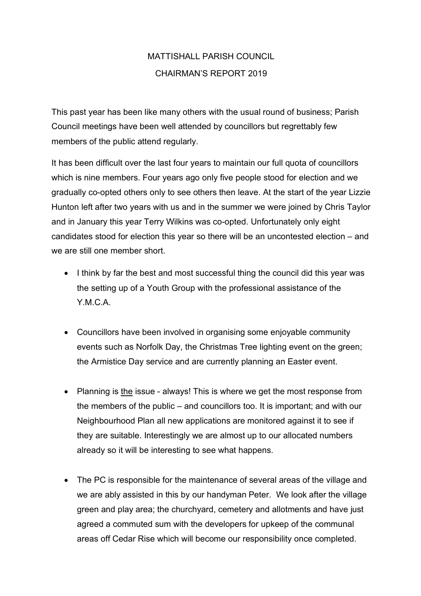## MATTISHALL PARISH COUNCIL CHAIRMAN'S REPORT 2019

This past year has been like many others with the usual round of business; Parish Council meetings have been well attended by councillors but regrettably few members of the public attend regularly.

It has been difficult over the last four years to maintain our full quota of councillors which is nine members. Four years ago only five people stood for election and we gradually co-opted others only to see others then leave. At the start of the year Lizzie Hunton left after two years with us and in the summer we were joined by Chris Taylor and in January this year Terry Wilkins was co-opted. Unfortunately only eight candidates stood for election this year so there will be an uncontested election – and we are still one member short.

- I think by far the best and most successful thing the council did this year was the setting up of a Youth Group with the professional assistance of the Y.M.C.A.
- Councillors have been involved in organising some enjoyable community events such as Norfolk Day, the Christmas Tree lighting event on the green; the Armistice Day service and are currently planning an Easter event.
- Planning is the issue always! This is where we get the most response from the members of the public – and councillors too. It is important; and with our Neighbourhood Plan all new applications are monitored against it to see if they are suitable. Interestingly we are almost up to our allocated numbers already so it will be interesting to see what happens.
- The PC is responsible for the maintenance of several areas of the village and we are ably assisted in this by our handyman Peter. We look after the village green and play area; the churchyard, cemetery and allotments and have just agreed a commuted sum with the developers for upkeep of the communal areas off Cedar Rise which will become our responsibility once completed.